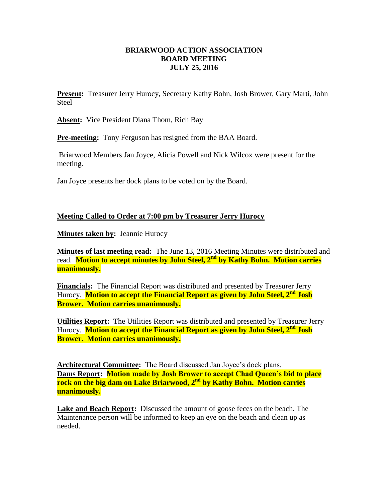## **BRIARWOOD ACTION ASSOCIATION BOARD MEETING JULY 25, 2016**

**Present:** Treasurer Jerry Hurocy, Secretary Kathy Bohn, Josh Brower, Gary Marti, John **Steel** 

**Absent:** Vice President Diana Thom, Rich Bay

**Pre-meeting:** Tony Ferguson has resigned from the BAA Board.

Briarwood Members Jan Joyce, Alicia Powell and Nick Wilcox were present for the meeting.

Jan Joyce presents her dock plans to be voted on by the Board.

## **Meeting Called to Order at 7:00 pm by Treasurer Jerry Hurocy**

**Minutes taken by:** Jeannie Hurocy

**Minutes of last meeting read:** The June 13, 2016 Meeting Minutes were distributed and read. **Motion to accept minutes by John Steel, 2nd by Kathy Bohn. Motion carries unanimously.**

**Financials:** The Financial Report was distributed and presented by Treasurer Jerry Hurocy. **Motion to accept the Financial Report as given by John Steel, 2nd Josh Brower. Motion carries unanimously.**

**Utilities Report:** The Utilities Report was distributed and presented by Treasurer Jerry Hurocy. **Motion to accept the Financial Report as given by John Steel, 2nd Josh Brower. Motion carries unanimously.**

**Architectural Committee:** The Board discussed Jan Joyce's dock plans. **Dams Report: Motion made by Josh Brower to accept Chad Queen's bid to place rock on the big dam on Lake Briarwood, 2nd by Kathy Bohn. Motion carries unanimously.**

**Lake and Beach Report:** Discussed the amount of goose feces on the beach. The Maintenance person will be informed to keep an eye on the beach and clean up as needed.